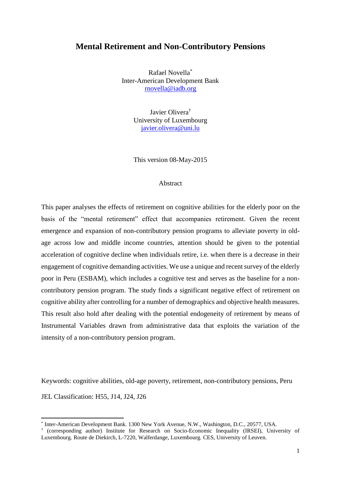# **Mental Retirement and Non-Contributory Pensions**

Rafael Novella\* Inter-American Development Bank [rnovella@iadb.org](mailto:rnovella@iadb.org)

> Javier Olivera† University of Luxembourg [javier.olivera@uni.lu](mailto:javier.olivera@uni.lu)

> This version 08-May-2015

### Abstract

This paper analyses the effects of retirement on cognitive abilities for the elderly poor on the basis of the "mental retirement" effect that accompanies retirement. Given the recent emergence and expansion of non-contributory pension programs to alleviate poverty in oldage across low and middle income countries, attention should be given to the potential acceleration of cognitive decline when individuals retire, i.e. when there is a decrease in their engagement of cognitive demanding activities. We use a unique and recent survey of the elderly poor in Peru (ESBAM), which includes a cognitive test and serves as the baseline for a noncontributory pension program. The study finds a significant negative effect of retirement on cognitive ability after controlling for a number of demographics and objective health measures. This result also hold after dealing with the potential endogeneity of retirement by means of Instrumental Variables drawn from administrative data that exploits the variation of the intensity of a non-contributory pension program.

Keywords: cognitive abilities, old-age poverty, retirement, non-contributory pensions, Peru JEL Classification: H55, J14, J24, J26

1

<sup>\*</sup> Inter-American Development Bank. 1300 New York Avenue, N.W., Washington, D.C., 20577, USA.

<sup>†</sup> (corresponding author) Institute for Research on Socio-Economic Inequality (IRSEI), University of Luxembourg. Route de Diekirch, L-7220, Walferdange, Luxembourg. CES, University of Leuven.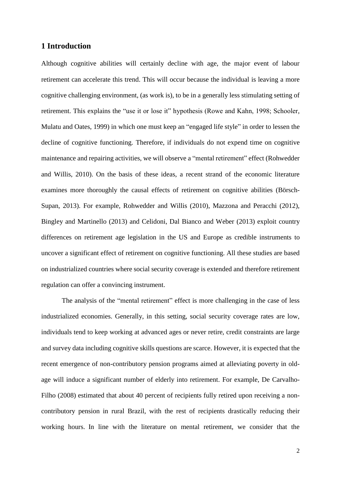## **1 Introduction**

Although cognitive abilities will certainly decline with age, the major event of labour retirement can accelerate this trend. This will occur because the individual is leaving a more cognitive challenging environment, (as work is), to be in a generally less stimulating setting of retirement. This explains the "use it or lose it" hypothesis (Rowe and Kahn, 1998; Schooler, Mulatu and Oates, 1999) in which one must keep an "engaged life style" in order to lessen the decline of cognitive functioning. Therefore, if individuals do not expend time on cognitive maintenance and repairing activities, we will observe a "mental retirement" effect (Rohwedder and Willis, 2010). On the basis of these ideas, a recent strand of the economic literature examines more thoroughly the causal effects of retirement on cognitive abilities (Börsch-Supan, 2013). For example, Rohwedder and Willis (2010), Mazzona and Peracchi (2012), Bingley and Martinello (2013) and Celidoni, Dal Bianco and Weber (2013) exploit country differences on retirement age legislation in the US and Europe as credible instruments to uncover a significant effect of retirement on cognitive functioning. All these studies are based on industrialized countries where social security coverage is extended and therefore retirement regulation can offer a convincing instrument.

The analysis of the "mental retirement" effect is more challenging in the case of less industrialized economies. Generally, in this setting, social security coverage rates are low, individuals tend to keep working at advanced ages or never retire, credit constraints are large and survey data including cognitive skills questions are scarce. However, it is expected that the recent emergence of non-contributory pension programs aimed at alleviating poverty in oldage will induce a significant number of elderly into retirement. For example, De Carvalho-Filho (2008) estimated that about 40 percent of recipients fully retired upon receiving a noncontributory pension in rural Brazil, with the rest of recipients drastically reducing their working hours. In line with the literature on mental retirement, we consider that the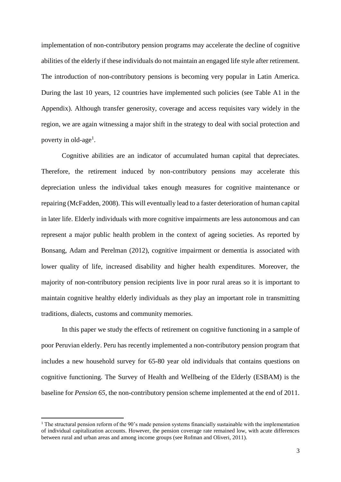implementation of non-contributory pension programs may accelerate the decline of cognitive abilities of the elderly if these individuals do not maintain an engaged life style after retirement. The introduction of non-contributory pensions is becoming very popular in Latin America. During the last 10 years, 12 countries have implemented such policies (see Table A1 in the Appendix). Although transfer generosity, coverage and access requisites vary widely in the region, we are again witnessing a major shift in the strategy to deal with social protection and poverty in old-age<sup>1</sup>.

Cognitive abilities are an indicator of accumulated human capital that depreciates. Therefore, the retirement induced by non-contributory pensions may accelerate this depreciation unless the individual takes enough measures for cognitive maintenance or repairing (McFadden, 2008). This will eventually lead to a faster deterioration of human capital in later life. Elderly individuals with more cognitive impairments are less autonomous and can represent a major public health problem in the context of ageing societies. As reported by Bonsang, Adam and Perelman (2012), cognitive impairment or dementia is associated with lower quality of life, increased disability and higher health expenditures. Moreover, the majority of non-contributory pension recipients live in poor rural areas so it is important to maintain cognitive healthy elderly individuals as they play an important role in transmitting traditions, dialects, customs and community memories.

In this paper we study the effects of retirement on cognitive functioning in a sample of poor Peruvian elderly. Peru has recently implemented a non-contributory pension program that includes a new household survey for 65-80 year old individuals that contains questions on cognitive functioning. The Survey of Health and Wellbeing of the Elderly (ESBAM) is the baseline for *Pension 65*, the non-contributory pension scheme implemented at the end of 2011.

1

<sup>&</sup>lt;sup>1</sup> The structural pension reform of the 90's made pension systems financially sustainable with the implementation of individual capitalization accounts. However, the pension coverage rate remained low, with acute differences between rural and urban areas and among income groups (see Rofman and Oliveri, 2011).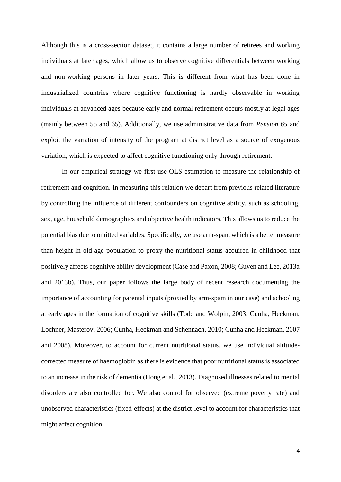Although this is a cross-section dataset, it contains a large number of retirees and working individuals at later ages, which allow us to observe cognitive differentials between working and non-working persons in later years. This is different from what has been done in industrialized countries where cognitive functioning is hardly observable in working individuals at advanced ages because early and normal retirement occurs mostly at legal ages (mainly between 55 and 65). Additionally, we use administrative data from *Pension 65* and exploit the variation of intensity of the program at district level as a source of exogenous variation, which is expected to affect cognitive functioning only through retirement.

In our empirical strategy we first use OLS estimation to measure the relationship of retirement and cognition. In measuring this relation we depart from previous related literature by controlling the influence of different confounders on cognitive ability, such as schooling, sex, age, household demographics and objective health indicators. This allows us to reduce the potential bias due to omitted variables. Specifically, we use arm-span, which is a better measure than height in old-age population to proxy the nutritional status acquired in childhood that positively affects cognitive ability development (Case and Paxon, 2008; Guven and Lee, 2013a and 2013b). Thus, our paper follows the large body of recent research documenting the importance of accounting for parental inputs (proxied by arm-spam in our case) and schooling at early ages in the formation of cognitive skills (Todd and Wolpin, 2003; Cunha, Heckman, Lochner, Masterov, 2006; Cunha, Heckman and Schennach, 2010; Cunha and Heckman, 2007 and 2008). Moreover, to account for current nutritional status, we use individual altitudecorrected measure of haemoglobin as there is evidence that poor nutritional status is associated to an increase in the risk of dementia (Hong et al., 2013). Diagnosed illnesses related to mental disorders are also controlled for. We also control for observed (extreme poverty rate) and unobserved characteristics (fixed-effects) at the district-level to account for characteristics that might affect cognition.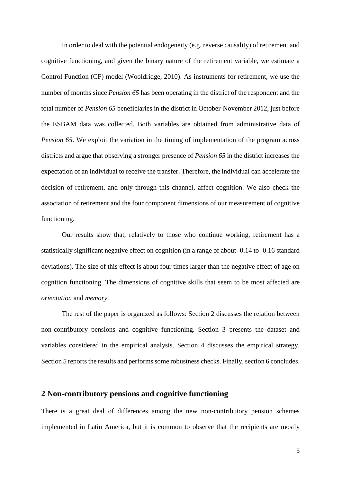In order to deal with the potential endogeneity (e.g. reverse causality) of retirement and cognitive functioning, and given the binary nature of the retirement variable, we estimate a Control Function (CF) model (Wooldridge, 2010). As instruments for retirement, we use the number of months since *Pension 65* has been operating in the district of the respondent and the total number of *Pension 65* beneficiaries in the district in October-November 2012, just before the ESBAM data was collected. Both variables are obtained from administrative data of *Pension 65*. We exploit the variation in the timing of implementation of the program across districts and argue that observing a stronger presence of *Pension 65* in the district increases the expectation of an individual to receive the transfer. Therefore, the individual can accelerate the decision of retirement, and only through this channel, affect cognition. We also check the association of retirement and the four component dimensions of our measurement of cognitive functioning.

Our results show that, relatively to those who continue working, retirement has a statistically significant negative effect on cognition (in a range of about -0.14 to -0.16 standard deviations). The size of this effect is about four times larger than the negative effect of age on cognition functioning. The dimensions of cognitive skills that seem to be most affected are *orientation* and *memory*.

The rest of the paper is organized as follows: Section 2 discusses the relation between non-contributory pensions and cognitive functioning. Section 3 presents the dataset and variables considered in the empirical analysis. Section 4 discusses the empirical strategy. Section 5 reports the results and performs some robustness checks. Finally, section 6 concludes.

## **2 Non-contributory pensions and cognitive functioning**

There is a great deal of differences among the new non-contributory pension schemes implemented in Latin America, but it is common to observe that the recipients are mostly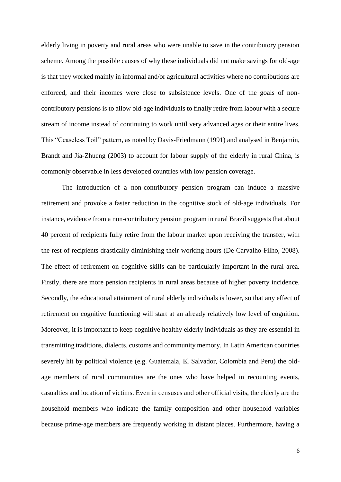elderly living in poverty and rural areas who were unable to save in the contributory pension scheme. Among the possible causes of why these individuals did not make savings for old-age is that they worked mainly in informal and/or agricultural activities where no contributions are enforced, and their incomes were close to subsistence levels. One of the goals of noncontributory pensions is to allow old-age individuals to finally retire from labour with a secure stream of income instead of continuing to work until very advanced ages or their entire lives. This "Ceaseless Toil" pattern, as noted by Davis-Friedmann (1991) and analysed in Benjamin, Brandt and Jia-Zhueng (2003) to account for labour supply of the elderly in rural China, is commonly observable in less developed countries with low pension coverage.

The introduction of a non-contributory pension program can induce a massive retirement and provoke a faster reduction in the cognitive stock of old-age individuals. For instance, evidence from a non-contributory pension program in rural Brazil suggests that about 40 percent of recipients fully retire from the labour market upon receiving the transfer, with the rest of recipients drastically diminishing their working hours (De Carvalho-Filho, 2008). The effect of retirement on cognitive skills can be particularly important in the rural area. Firstly, there are more pension recipients in rural areas because of higher poverty incidence. Secondly, the educational attainment of rural elderly individuals is lower, so that any effect of retirement on cognitive functioning will start at an already relatively low level of cognition. Moreover, it is important to keep cognitive healthy elderly individuals as they are essential in transmitting traditions, dialects, customs and community memory. In Latin American countries severely hit by political violence (e.g. Guatemala, El Salvador, Colombia and Peru) the oldage members of rural communities are the ones who have helped in recounting events, casualties and location of victims. Even in censuses and other official visits, the elderly are the household members who indicate the family composition and other household variables because prime-age members are frequently working in distant places. Furthermore, having a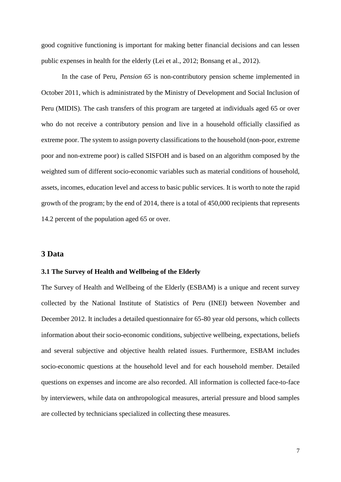good cognitive functioning is important for making better financial decisions and can lessen public expenses in health for the elderly (Lei et al., 2012; Bonsang et al., 2012).

In the case of Peru, *Pension 65* is non-contributory pension scheme implemented in October 2011, which is administrated by the Ministry of Development and Social Inclusion of Peru (MIDIS). The cash transfers of this program are targeted at individuals aged 65 or over who do not receive a contributory pension and live in a household officially classified as extreme poor. The system to assign poverty classifications to the household (non-poor, extreme poor and non-extreme poor) is called SISFOH and is based on an algorithm composed by the weighted sum of different socio-economic variables such as material conditions of household, assets, incomes, education level and access to basic public services. It is worth to note the rapid growth of the program; by the end of 2014, there is a total of 450,000 recipients that represents 14.2 percent of the population aged 65 or over.

## **3 Data**

#### **3.1 The Survey of Health and Wellbeing of the Elderly**

The Survey of Health and Wellbeing of the Elderly (ESBAM) is a unique and recent survey collected by the National Institute of Statistics of Peru (INEI) between November and December 2012. It includes a detailed questionnaire for 65-80 year old persons, which collects information about their socio-economic conditions, subjective wellbeing, expectations, beliefs and several subjective and objective health related issues. Furthermore, ESBAM includes socio-economic questions at the household level and for each household member. Detailed questions on expenses and income are also recorded. All information is collected face-to-face by interviewers, while data on anthropological measures, arterial pressure and blood samples are collected by technicians specialized in collecting these measures.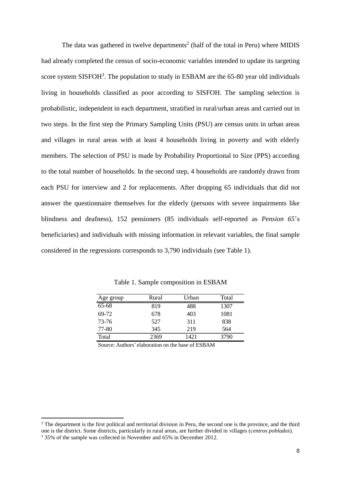The data was gathered in twelve departments<sup>2</sup> (half of the total in Peru) where MIDIS had already completed the census of socio-economic variables intended to update its targeting score system SISFOH<sup>3</sup>. The population to study in ESBAM are the  $65-80$  year old individuals living in households classified as poor according to SISFOH. The sampling selection is probabilistic, independent in each department, stratified in rural/urban areas and carried out in two steps. In the first step the Primary Sampling Units (PSU) are census units in urban areas and villages in rural areas with at least 4 households living in poverty and with elderly members. The selection of PSU is made by Probability Proportional to Size (PPS) according to the total number of households. In the second step, 4 households are randomly drawn from each PSU for interview and 2 for replacements. After dropping 65 individuals that did not answer the questionnaire themselves for the elderly (persons with severe impairments like blindness and deafness), 152 pensioners (85 individuals self-reported as *Pension 65*'s beneficiaries) and individuals with missing information in relevant variables, the final sample considered in the regressions corresponds to 3,790 individuals (see Table 1).

| Age group | Rural | Urban | Total |
|-----------|-------|-------|-------|
| $65 - 68$ | 819   | 488   | 1307  |
| 69-72     | 678   | 403   | 1081  |
| 73-76     | 527   | 311   | 838   |
| 77-80     | 345   | 219   | 564   |
| Total     | 2369  | 1421  | 3790  |

Table 1. Sample composition in ESBAM

Source: Authors' elaboration on the base of ESBAM

1

 $2$  The department is the first political and territorial division in Peru, the second one is the province, and the third one is the district. Some districts, particularly in rural areas, are further divided in villages (*centros poblados*). <sup>3</sup> 35% of the sample was collected in November and 65% in December 2012.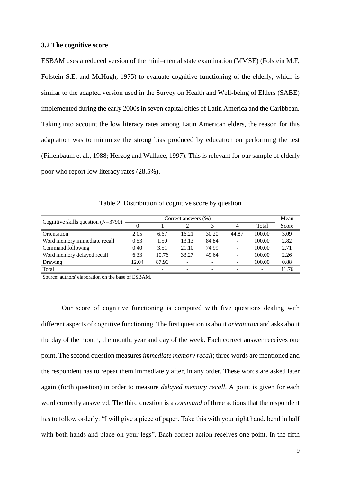#### **3.2 The cognitive score**

ESBAM uses a reduced version of the mini–mental state examination (MMSE) (Folstein M.F, Folstein S.E. and McHugh, 1975) to evaluate cognitive functioning of the elderly, which is similar to the adapted version used in the Survey on Health and Well-being of Elders (SABE) implemented during the early 2000s in seven capital cities of Latin America and the Caribbean. Taking into account the low literacy rates among Latin American elders, the reason for this adaptation was to minimize the strong bias produced by education on performing the test (Fillenbaum et al., 1988; Herzog and Wallace, 1997). This is relevant for our sample of elderly poor who report low literacy rates (28.5%).

Table 2. Distribution of cognitive score by question

| Cognitive skills question $(N=3790)$ | Correct answers (%) |       |       |                          |                          |        |       |
|--------------------------------------|---------------------|-------|-------|--------------------------|--------------------------|--------|-------|
|                                      |                     |       |       |                          | 4                        | Total  | Score |
| Orientation                          | 2.05                | 6.67  | 16.21 | 30.20                    | 44.87                    | 100.00 | 3.09  |
| Word memory immediate recall         | 0.53                | 1.50  | 13.13 | 84.84                    | $\overline{\phantom{a}}$ | 100.00 | 2.82  |
| Command following                    | 0.40                | 3.51  | 21.10 | 74.99                    | $\overline{\phantom{a}}$ | 100.00 | 2.71  |
| Word memory delayed recall           | 6.33                | 10.76 | 33.27 | 49.64                    | $\overline{\phantom{a}}$ | 100.00 | 2.26  |
| Drawing                              | 12.04               | 87.96 | -     | $\overline{\phantom{a}}$ |                          | 100.00 | 0.88  |
| Total                                |                     |       |       | $\overline{\phantom{a}}$ |                          |        | 11.76 |

Source: authors' elaboration on the base of ESBAM.

Our score of cognitive functioning is computed with five questions dealing with different aspects of cognitive functioning. The first question is about *orientation* and asks about the day of the month, the month, year and day of the week. Each correct answer receives one point. The second question measures *immediate memory recall*; three words are mentioned and the respondent has to repeat them immediately after, in any order. These words are asked later again (forth question) in order to measure *delayed memory recall*. A point is given for each word correctly answered. The third question is a *command* of three actions that the respondent has to follow orderly: "I will give a piece of paper. Take this with your right hand, bend in half with both hands and place on your legs". Each correct action receives one point. In the fifth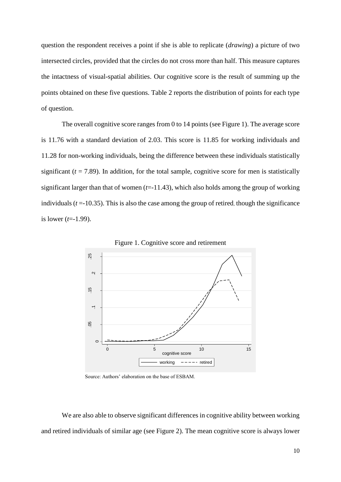question the respondent receives a point if she is able to replicate (*drawing*) a picture of two intersected circles, provided that the circles do not cross more than half. This measure captures the intactness of visual-spatial abilities. Our cognitive score is the result of summing up the points obtained on these five questions. Table 2 reports the distribution of points for each type of question.

The overall cognitive score ranges from 0 to 14 points (see Figure 1). The average score is 11.76 with a standard deviation of 2.03. This score is 11.85 for working individuals and 11.28 for non-working individuals, being the difference between these individuals statistically significant  $(t = 7.89)$ . In addition, for the total sample, cognitive score for men is statistically significant larger than that of women  $(t=11.43)$ , which also holds among the group of working individuals  $(t = -10.35)$ . This is also the case among the group of retired, though the significance is lower (*t*=-1.99).



Figure 1. Cognitive score and retirement

Source: Authors' elaboration on the base of ESBAM.

We are also able to observe significant differences in cognitive ability between working and retired individuals of similar age (see Figure 2). The mean cognitive score is always lower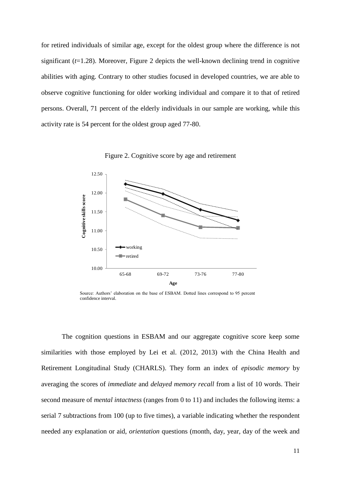for retired individuals of similar age, except for the oldest group where the difference is not significant  $(t=1.28)$ . Moreover, Figure 2 depicts the well-known declining trend in cognitive abilities with aging. Contrary to other studies focused in developed countries, we are able to observe cognitive functioning for older working individual and compare it to that of retired persons. Overall, 71 percent of the elderly individuals in our sample are working, while this activity rate is 54 percent for the oldest group aged 77-80.



Figure 2. Cognitive score by age and retirement

The cognition questions in ESBAM and our aggregate cognitive score keep some similarities with those employed by Lei et al. (2012, 2013) with the China Health and Retirement Longitudinal Study (CHARLS). They form an index of *episodic memory* by averaging the scores of *immediate* and *delayed memory recall* from a list of 10 words. Their second measure of *mental intactness* (ranges from 0 to 11) and includes the following items: a serial 7 subtractions from 100 (up to five times), a variable indicating whether the respondent needed any explanation or aid, *orientation* questions (month, day, year, day of the week and

Source: Authors' elaboration on the base of ESBAM. Dotted lines correspond to 95 percent confidence interval.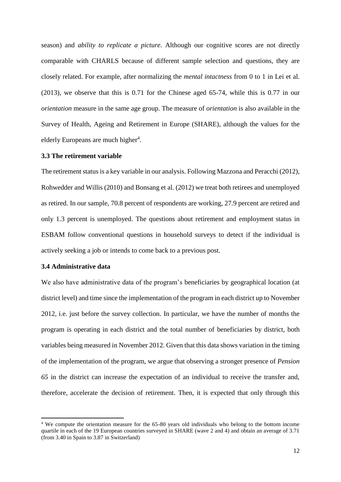season) and *ability to replicate a picture*. Although our cognitive scores are not directly comparable with CHARLS because of different sample selection and questions, they are closely related. For example, after normalizing the *mental intactness* from 0 to 1 in Lei et al. (2013), we observe that this is 0.71 for the Chinese aged 65-74, while this is 0.77 in our *orientation* measure in the same age group. The measure of *orientation* is also available in the Survey of Health, Ageing and Retirement in Europe (SHARE), although the values for the elderly Europeans are much higher<sup>4</sup>.

#### **3.3 The retirement variable**

The retirement status is a key variable in our analysis. Following Mazzona and Peracchi (2012), Rohwedder and Willis (2010) and Bonsang et al. (2012) we treat both retirees and unemployed as retired. In our sample, 70.8 percent of respondents are working, 27.9 percent are retired and only 1.3 percent is unemployed. The questions about retirement and employment status in ESBAM follow conventional questions in household surveys to detect if the individual is actively seeking a job or intends to come back to a previous post.

## **3.4 Administrative data**

1

We also have administrative data of the program's beneficiaries by geographical location (at district level) and time since the implementation of the program in each district up to November 2012, i.e. just before the survey collection. In particular, we have the number of months the program is operating in each district and the total number of beneficiaries by district, both variables being measured in November 2012. Given that this data shows variation in the timing of the implementation of the program, we argue that observing a stronger presence of *Pension 65* in the district can increase the expectation of an individual to receive the transfer and, therefore, accelerate the decision of retirement. Then, it is expected that only through this

<sup>4</sup> We compute the orientation measure for the 65-80 years old individuals who belong to the bottom income quartile in each of the 19 European countries surveyed in SHARE (wave 2 and 4) and obtain an average of 3.71 (from 3.40 in Spain to 3.87 in Switzerland)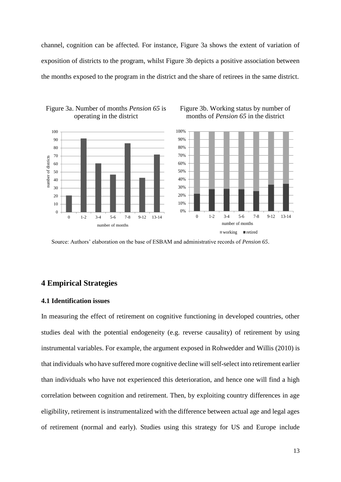channel, cognition can be affected. For instance, Figure 3a shows the extent of variation of exposition of districts to the program, whilst Figure 3b depicts a positive association between the months exposed to the program in the district and the share of retirees in the same district.

> Figure 3b. Working status by number of months of *Pension 65* in the district





Source: Authors' elaboration on the base of ESBAM and administrative records of *Pension 65*.

## **4 Empirical Strategies**

## **4.1 Identification issues**

In measuring the effect of retirement on cognitive functioning in developed countries, other studies deal with the potential endogeneity (e.g. reverse causality) of retirement by using instrumental variables. For example, the argument exposed in Rohwedder and Willis (2010) is that individuals who have suffered more cognitive decline will self-select into retirement earlier than individuals who have not experienced this deterioration, and hence one will find a high correlation between cognition and retirement. Then, by exploiting country differences in age eligibility, retirement is instrumentalized with the difference between actual age and legal ages of retirement (normal and early). Studies using this strategy for US and Europe include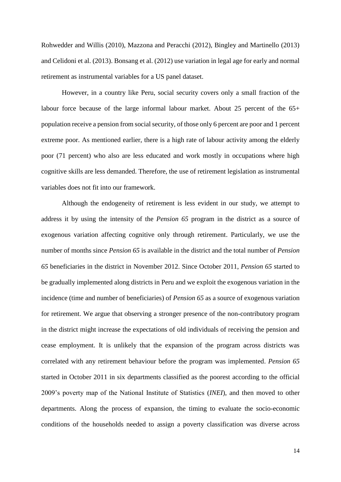Rohwedder and Willis (2010), Mazzona and Peracchi (2012), Bingley and Martinello (2013) and Celidoni et al. (2013). Bonsang et al. (2012) use variation in legal age for early and normal retirement as instrumental variables for a US panel dataset.

However, in a country like Peru, social security covers only a small fraction of the labour force because of the large informal labour market. About 25 percent of the 65+ population receive a pension from social security, of those only 6 percent are poor and 1 percent extreme poor. As mentioned earlier, there is a high rate of labour activity among the elderly poor (71 percent) who also are less educated and work mostly in occupations where high cognitive skills are less demanded. Therefore, the use of retirement legislation as instrumental variables does not fit into our framework.

Although the endogeneity of retirement is less evident in our study, we attempt to address it by using the intensity of the *Pension 65* program in the district as a source of exogenous variation affecting cognitive only through retirement. Particularly, we use the number of months since *Pension 65* is available in the district and the total number of *Pension 65* beneficiaries in the district in November 2012. Since October 2011, *Pension 65* started to be gradually implemented along districts in Peru and we exploit the exogenous variation in the incidence (time and number of beneficiaries) of *Pension 65* as a source of exogenous variation for retirement. We argue that observing a stronger presence of the non-contributory program in the district might increase the expectations of old individuals of receiving the pension and cease employment. It is unlikely that the expansion of the program across districts was correlated with any retirement behaviour before the program was implemented. *Pension 65* started in October 2011 in six departments classified as the poorest according to the official 2009's poverty map of the National Institute of Statistics (*INEI*), and then moved to other departments. Along the process of expansion, the timing to evaluate the socio-economic conditions of the households needed to assign a poverty classification was diverse across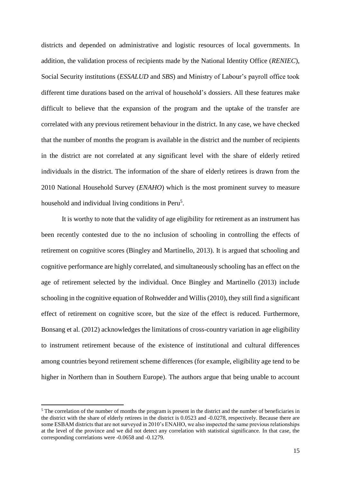districts and depended on administrative and logistic resources of local governments. In addition, the validation process of recipients made by the National Identity Office (*RENIEC*), Social Security institutions (*ESSALUD* and *SBS*) and Ministry of Labour's payroll office took different time durations based on the arrival of household's dossiers. All these features make difficult to believe that the expansion of the program and the uptake of the transfer are correlated with any previous retirement behaviour in the district. In any case, we have checked that the number of months the program is available in the district and the number of recipients in the district are not correlated at any significant level with the share of elderly retired individuals in the district. The information of the share of elderly retirees is drawn from the 2010 National Household Survey (*ENAHO*) which is the most prominent survey to measure household and individual living conditions in Peru<sup>5</sup>.

It is worthy to note that the validity of age eligibility for retirement as an instrument has been recently contested due to the no inclusion of schooling in controlling the effects of retirement on cognitive scores (Bingley and Martinello, 2013). It is argued that schooling and cognitive performance are highly correlated, and simultaneously schooling has an effect on the age of retirement selected by the individual. Once Bingley and Martinello (2013) include schooling in the cognitive equation of Rohwedder and Willis (2010), they still find a significant effect of retirement on cognitive score, but the size of the effect is reduced. Furthermore, Bonsang et al. (2012) acknowledges the limitations of cross-country variation in age eligibility to instrument retirement because of the existence of institutional and cultural differences among countries beyond retirement scheme differences (for example, eligibility age tend to be higher in Northern than in Southern Europe). The authors argue that being unable to account

-

 $<sup>5</sup>$  The correlation of the number of months the program is present in the district and the number of beneficiaries in</sup> the district with the share of elderly retirees in the district is 0.0523 and -0.0278, respectively. Because there are some ESBAM districts that are not surveyed in 2010's ENAHO, we also inspected the same previous relationships at the level of the province and we did not detect any correlation with statistical significance. In that case, the corresponding correlations were -0.0658 and -0.1279.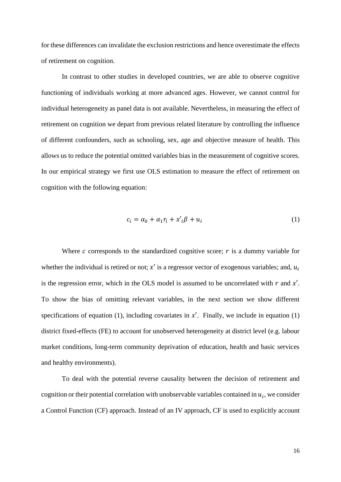for these differences can invalidate the exclusion restrictions and hence overestimate the effects of retirement on cognition.

In contrast to other studies in developed countries, we are able to observe cognitive functioning of individuals working at more advanced ages. However, we cannot control for individual heterogeneity as panel data is not available. Nevertheless, in measuring the effect of retirement on cognition we depart from previous related literature by controlling the influence of different confounders, such as schooling, sex, age and objective measure of health. This allows us to reduce the potential omitted variables bias in the measurement of cognitive scores. In our empirical strategy we first use OLS estimation to measure the effect of retirement on cognition with the following equation:

$$
c_i = \alpha_0 + \alpha_1 r_i + x'_i \beta + u_i \tag{1}
$$

Where  $c$  corresponds to the standardized cognitive score;  $r$  is a dummy variable for whether the individual is retired or not;  $x'$  is a regressor vector of exogenous variables; and,  $u_i$ is the regression error, which in the OLS model is assumed to be uncorrelated with  $r$  and  $x'$ . To show the bias of omitting relevant variables, in the next section we show different specifications of equation (1), including covariates in  $x'$ . Finally, we include in equation (1) district fixed-effects (FE) to account for unobserved heterogeneity at district level (e.g. labour market conditions, long-term community deprivation of education, health and basic services and healthy environments).

To deal with the potential reverse causality between the decision of retirement and cognition or their potential correlation with unobservable variables contained in  $u_i$ , we consider a Control Function (CF) approach. Instead of an IV approach, CF is used to explicitly account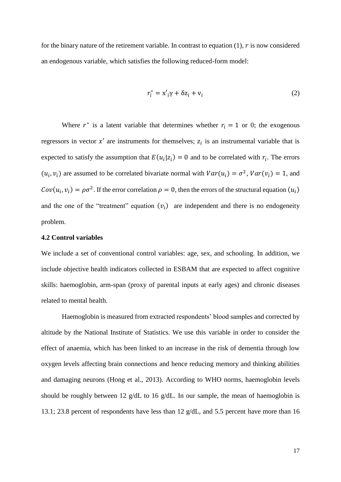for the binary nature of the retirement variable. In contrast to equation  $(1)$ ,  $\dot{r}$  is now considered an endogenous variable, which satisfies the following reduced-form model:

$$
r_i^* = \mathbf{x'}_i \gamma + \delta \mathbf{z}_i + \mathbf{v}_i \tag{2}
$$

Where  $r^*$  is a latent variable that determines whether  $r_i = 1$  or 0; the exogenous regressors in vector  $x'$  are instruments for themselves;  $z_i$  is an instrumental variable that is expected to satisfy the assumption that  $E(u_i|z_i) = 0$  and to be correlated with  $r_i$ . The errors  $(u_i, v_i)$  are assumed to be correlated bivariate normal with  $Var(u_i) = \sigma^2$ ,  $Var(v_i) = 1$ , and  $Cov(u_i, v_i) = \rho \sigma^2$ . If the error correlation  $\rho = 0$ , then the errors of the structural equation  $(u_i)$ and the one of the "treatment" equation  $(v_i)$  are independent and there is no endogeneity problem.

### **4.2 Control variables**

We include a set of conventional control variables: age, sex, and schooling. In addition, we include objective health indicators collected in ESBAM that are expected to affect cognitive skills: haemoglobin, arm-span (proxy of parental inputs at early ages) and chronic diseases related to mental health.

Haemoglobin is measured from extracted respondents' blood samples and corrected by altitude by the National Institute of Statistics. We use this variable in order to consider the effect of anaemia, which has been linked to an increase in the risk of dementia through low oxygen levels affecting brain connections and hence reducing memory and thinking abilities and damaging neurons (Hong et al., 2013). According to WHO norms, haemoglobin levels should be roughly between 12 g/dL to 16 g/dL. In our sample, the mean of haemoglobin is 13.1; 23.8 percent of respondents have less than 12 g/dL, and 5.5 percent have more than 16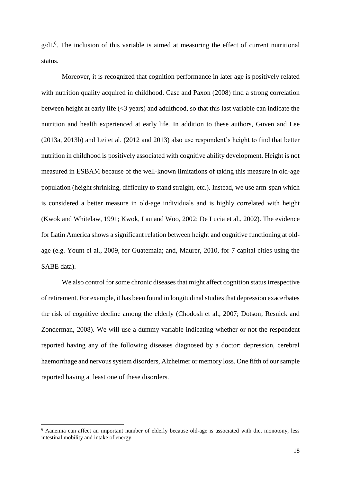g/dL<sup>6</sup>. The inclusion of this variable is aimed at measuring the effect of current nutritional status.

Moreover, it is recognized that cognition performance in later age is positively related with nutrition quality acquired in childhood. Case and Paxon (2008) find a strong correlation between height at early life (<3 years) and adulthood, so that this last variable can indicate the nutrition and health experienced at early life. In addition to these authors, Guven and Lee (2013a, 2013b) and Lei et al. (2012 and 2013) also use respondent's height to find that better nutrition in childhood is positively associated with cognitive ability development. Height is not measured in ESBAM because of the well-known limitations of taking this measure in old-age population (height shrinking, difficulty to stand straight, etc.). Instead, we use arm-span which is considered a better measure in old-age individuals and is highly correlated with height (Kwok and Whitelaw, 1991; Kwok, Lau and Woo, 2002; De Lucia et al., 2002). The evidence for Latin America shows a significant relation between height and cognitive functioning at oldage (e.g. Yount el al., 2009, for Guatemala; and, Maurer, 2010, for 7 capital cities using the SABE data).

We also control for some chronic diseases that might affect cognition status irrespective of retirement. For example, it has been found in longitudinal studies that depression exacerbates the risk of cognitive decline among the elderly (Chodosh et al., 2007; Dotson, Resnick and Zonderman, 2008). We will use a dummy variable indicating whether or not the respondent reported having any of the following diseases diagnosed by a doctor: depression, cerebral haemorrhage and nervous system disorders, Alzheimer or memory loss. One fifth of our sample reported having at least one of these disorders.

-

<sup>6</sup> Aanemia can affect an important number of elderly because old-age is associated with diet monotony, less intestinal mobility and intake of energy.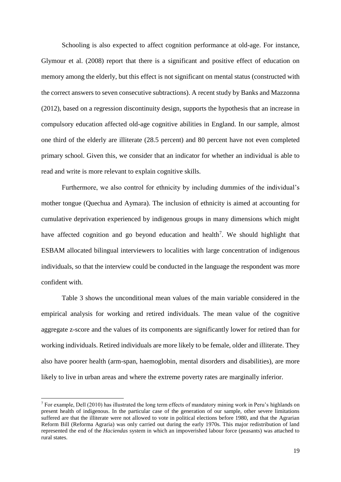Schooling is also expected to affect cognition performance at old-age. For instance, Glymour et al. (2008) report that there is a significant and positive effect of education on memory among the elderly, but this effect is not significant on mental status (constructed with the correct answers to seven consecutive subtractions). A recent study by Banks and Mazzonna (2012), based on a regression discontinuity design, supports the hypothesis that an increase in compulsory education affected old-age cognitive abilities in England. In our sample, almost one third of the elderly are illiterate (28.5 percent) and 80 percent have not even completed primary school. Given this, we consider that an indicator for whether an individual is able to read and write is more relevant to explain cognitive skills.

Furthermore, we also control for ethnicity by including dummies of the individual's mother tongue (Quechua and Aymara). The inclusion of ethnicity is aimed at accounting for cumulative deprivation experienced by indigenous groups in many dimensions which might have affected cognition and go beyond education and health<sup>7</sup>. We should highlight that ESBAM allocated bilingual interviewers to localities with large concentration of indigenous individuals, so that the interview could be conducted in the language the respondent was more confident with.

Table 3 shows the unconditional mean values of the main variable considered in the empirical analysis for working and retired individuals. The mean value of the cognitive aggregate z-score and the values of its components are significantly lower for retired than for working individuals. Retired individuals are more likely to be female, older and illiterate. They also have poorer health (arm-span, haemoglobin, mental disorders and disabilities), are more likely to live in urban areas and where the extreme poverty rates are marginally inferior.

1

<sup>7</sup> For example, Dell (2010) has illustrated the long term effects of mandatory mining work in Peru's highlands on present health of indigenous. In the particular case of the generation of our sample, other severe limitations suffered are that the illiterate were not allowed to vote in political elections before 1980, and that the Agrarian Reform Bill (Reforma Agraria) was only carried out during the early 1970s. This major redistribution of land represented the end of the *Haciendas* system in which an impoverished labour force (peasants) was attached to rural states.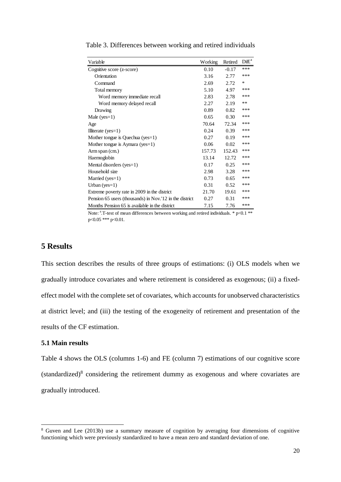| Variable                                                | Working | Retired | Diff <sup>a</sup> |
|---------------------------------------------------------|---------|---------|-------------------|
| Cognitive score (z-score)                               | 0.10    | $-0.17$ | ***               |
| Orientation                                             | 3.16    | 2.77    | ***               |
| Command                                                 | 2.69    | 2.72    | $\ast$            |
| Total memory                                            | 5.10    | 4.97    | ***               |
| Word memory immediate recall                            | 2.83    | 2.78    | ***               |
| Word memory delayed recall                              | 2.27    | 2.19    | $***$             |
| Drawing                                                 | 0.89    | 0.82    | ***               |
| Male $(yes=1)$                                          | 0.65    | 0.30    | ***               |
| Age                                                     | 70.64   | 72.34   | ***               |
| Illiterate $(yes=1)$                                    | 0.24    | 0.39    | ***               |
| Mother tongue is Quechua ( $yes=1$ )                    | 0.27    | 0.19    | ***               |
| Mother tongue is Aymara ( $yes=1$ )                     | 0.06    | 0.02    | ***               |
| Arm span (cm.)                                          | 157.73  | 152.43  | ***               |
| Haemoglobin                                             | 13.14   | 12.72   | ***               |
| Mental disorders (yes=1)                                | 0.17    | 0.25    | ***               |
| Household size                                          | 2.98    | 3.28    | ***               |
| Married ( $yes=1$ )                                     | 0.73    | 0.65    | ***               |
| Urban (yes= $1$ )                                       | 0.31    | 0.52    | ***               |
| Extreme poverty rate in 2009 in the district            | 21.70   | 19.61   | ***               |
| Pension 65 users (thousands) in Nov. 12 in the district | 0.27    | 0.31    | ***               |
| Months Pension 65 is available in the district          | 7.15    | 7.76    | ***               |

Table 3. Differences between working and retired individuals

Note:  $\cdot$  T-test of mean differences between working and retired individuals. \*  $p<0.1$  \*\* p<0.05 \*\*\* p<0.01.

# **5 Results**

This section describes the results of three groups of estimations: (i) OLS models when we gradually introduce covariates and where retirement is considered as exogenous; (ii) a fixedeffect model with the complete set of covariates, which accounts for unobserved characteristics at district level; and (iii) the testing of the exogeneity of retirement and presentation of the results of the CF estimation.

## **5.1 Main results**

-

Table 4 shows the OLS (columns 1-6) and FE (column 7) estimations of our cognitive score  $(\text{standardized})^8$  considering the retirement dummy as exogenous and where covariates are gradually introduced.

<sup>&</sup>lt;sup>8</sup> Guven and Lee (2013b) use a summary measure of cognition by averaging four dimensions of cognitive functioning which were previously standardized to have a mean zero and standard deviation of one.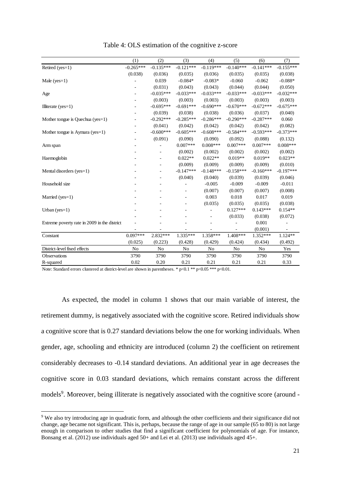|                                              | (1)         | (2)         | (3)            | (4)         | (5)         | (6)         | (7)         |
|----------------------------------------------|-------------|-------------|----------------|-------------|-------------|-------------|-------------|
| Retired (yes=1)                              | $-0.265***$ | $-0.135***$ | $-0.121***$    | $-0.119***$ | $-0.140***$ | $-0.141***$ | $-0.155***$ |
|                                              | (0.038)     | (0.036)     | (0.035)        | (0.036)     | (0.035)     | (0.035)     | (0.038)     |
| Male $(yes=1)$                               |             | 0.039       | $-0.084*$      | $-0.083*$   | $-0.060$    | $-0.062$    | $-0.088*$   |
|                                              |             | (0.031)     | (0.043)        | (0.043)     | (0.044)     | (0.044)     | (0.050)     |
| Age                                          |             | $-0.035***$ | $-0.033***$    | $-0.033***$ | $-0.033***$ | $-0.033***$ | $-0.032***$ |
|                                              |             | (0.003)     | (0.003)        | (0.003)     | (0.003)     | (0.003)     | (0.003)     |
| Illiterate ( $yes=1$ )                       |             | $-0.695***$ | $-0.691***$    | $-0.690***$ | $-0.670***$ | $-0.672***$ | $-0.675***$ |
|                                              |             | (0.039)     | (0.038)        | (0.038)     | (0.036)     | (0.037)     | (0.040)     |
| Mother tongue is Quechua ( $yes=1$ )         |             | $-0.292***$ | $-0.285***$    | $-0.286***$ | $-0.290***$ | $-0.287***$ | 0.060       |
|                                              |             | (0.041)     | (0.042)        | (0.042)     | (0.042)     | (0.042)     | (0.082)     |
| Mother tongue is Aymara ( $yes=1$ )          |             | $-0.600***$ | $-0.605***$    | $-0.608***$ | $-0.584***$ | $-0.593***$ | $-0.373***$ |
|                                              |             | (0.091)     | (0.090)        | (0.090)     | (0.092)     | (0.088)     | (0.132)     |
| Arm span                                     |             |             | $0.007***$     | $0.008***$  | $0.007***$  | $0.007***$  | $0.008***$  |
|                                              |             |             | (0.002)        | (0.002)     | (0.002)     | (0.002)     | (0.002)     |
| Haemoglobin                                  |             |             | $0.022**$      | $0.022**$   | $0.019**$   | $0.019**$   | $0.023**$   |
|                                              |             |             | (0.009)        | (0.009)     | (0.009)     | (0.009)     | (0.010)     |
| Mental disorders (yes=1)                     |             |             | $-0.147***$    | $-0.148***$ | $-0.158***$ | $-0.160***$ | $-0.197***$ |
|                                              |             |             | (0.040)        | (0.040)     | (0.039)     | (0.039)     | (0.046)     |
| Household size                               |             |             |                | $-0.005$    | $-0.009$    | $-0.009$    | $-0.011$    |
|                                              |             |             |                | (0.007)     | (0.007)     | (0.007)     | (0.008)     |
| Married ( $yes=1$ )                          |             |             |                | 0.003       | 0.018       | 0.017       | 0.019       |
|                                              |             |             |                | (0.035)     | (0.035)     | (0.035)     | (0.038)     |
| Urban (yes= $1$ )                            |             |             |                |             | $0.127***$  | $0.143***$  | $0.154**$   |
|                                              |             |             |                |             | (0.033)     | (0.038)     | (0.072)     |
| Extreme poverty rate in 2009 in the district |             |             |                |             |             | 0.001       |             |
|                                              |             |             |                |             |             | (0.001)     |             |
| Constant                                     | $0.097***$  | 2.832***    | 1.335***       | 1.358***    | 1.408***    | $1.352***$  | $1.124**$   |
|                                              | (0.025)     | (0.223)     | (0.428)        | (0.429)     | (0.424)     | (0.434)     | (0.492)     |
| District-level fixed effects                 | No          | No          | N <sub>o</sub> | No          | No          | No          | Yes         |
| Observations                                 | 3790        | 3790        | 3790           | 3790        | 3790        | 3790        | 3790        |
| R-squared                                    | 0.02        | 0.20        | 0.21           | 0.21        | 0.21        | 0.21        | 0.33        |

Table 4: OLS estimation of the cognitive z-score

Note: Standard errors clustered at district-level are shown in parentheses. \* p<0.1 \*\* p<0.05 \*\*\* p<0.01.

1

As expected, the model in column 1 shows that our main variable of interest, the retirement dummy, is negatively associated with the cognitive score. Retired individuals show a cognitive score that is 0.27 standard deviations below the one for working individuals. When gender, age, schooling and ethnicity are introduced (column 2) the coefficient on retirement considerably decreases to -0.14 standard deviations. An additional year in age decreases the cognitive score in 0.03 standard deviations, which remains constant across the different models<sup>9</sup>. Moreover, being illiterate is negatively associated with the cognitive score (around -

<sup>9</sup> We also try introducing age in quadratic form, and although the other coefficients and their significance did not change, age became not significant. This is, perhaps, because the range of age in our sample (65 to 80) is not large enough in comparison to other studies that find a significant coefficient for polynomials of age. For instance, Bonsang et al. (2012) use individuals aged 50+ and Lei et al. (2013) use individuals aged 45+.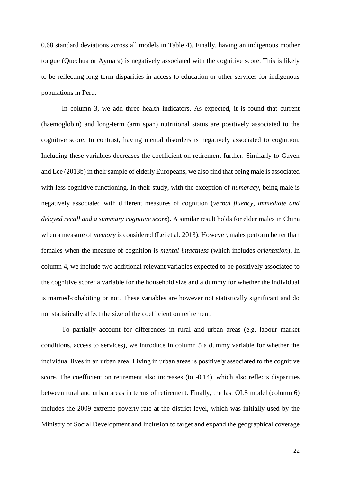0.68 standard deviations across all models in Table 4). Finally, having an indigenous mother tongue (Quechua or Aymara) is negatively associated with the cognitive score. This is likely to be reflecting long-term disparities in access to education or other services for indigenous populations in Peru.

In column 3, we add three health indicators. As expected, it is found that current (haemoglobin) and long-term (arm span) nutritional status are positively associated to the cognitive score. In contrast, having mental disorders is negatively associated to cognition. Including these variables decreases the coefficient on retirement further. Similarly to Guven and Lee (2013b) in their sample of elderly Europeans, we also find that being male is associated with less cognitive functioning. In their study, with the exception of *numeracy*, being male is negatively associated with different measures of cognition (*verbal fluency, immediate and delayed recall and a summary cognitive score*). A similar result holds for elder males in China when a measure of *memory* is considered (Lei et al. 2013). However, males perform better than females when the measure of cognition is *mental intactness* (which includes *orientation*). In column 4, we include two additional relevant variables expected to be positively associated to the cognitive score: a variable for the household size and a dummy for whether the individual is married\cohabiting or not. These variables are however not statistically significant and do not statistically affect the size of the coefficient on retirement.

To partially account for differences in rural and urban areas (e.g. labour market conditions, access to services), we introduce in column 5 a dummy variable for whether the individual lives in an urban area. Living in urban areas is positively associated to the cognitive score. The coefficient on retirement also increases (to -0.14), which also reflects disparities between rural and urban areas in terms of retirement. Finally, the last OLS model (column 6) includes the 2009 extreme poverty rate at the district-level, which was initially used by the Ministry of Social Development and Inclusion to target and expand the geographical coverage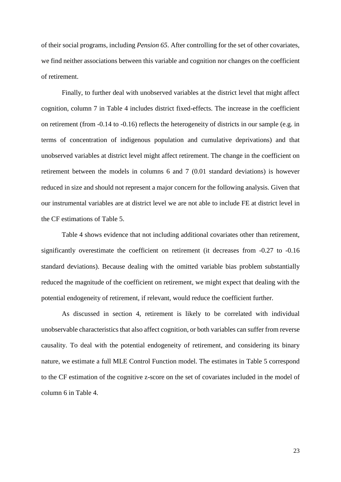of their social programs, including *Pension 65*. After controlling for the set of other covariates, we find neither associations between this variable and cognition nor changes on the coefficient of retirement.

Finally, to further deal with unobserved variables at the district level that might affect cognition, column 7 in Table 4 includes district fixed-effects. The increase in the coefficient on retirement (from -0.14 to -0.16) reflects the heterogeneity of districts in our sample (e.g. in terms of concentration of indigenous population and cumulative deprivations) and that unobserved variables at district level might affect retirement. The change in the coefficient on retirement between the models in columns 6 and 7 (0.01 standard deviations) is however reduced in size and should not represent a major concern for the following analysis. Given that our instrumental variables are at district level we are not able to include FE at district level in the CF estimations of Table 5.

Table 4 shows evidence that not including additional covariates other than retirement, significantly overestimate the coefficient on retirement (it decreases from -0.27 to -0.16 standard deviations). Because dealing with the omitted variable bias problem substantially reduced the magnitude of the coefficient on retirement, we might expect that dealing with the potential endogeneity of retirement, if relevant, would reduce the coefficient further.

As discussed in section 4, retirement is likely to be correlated with individual unobservable characteristics that also affect cognition, or both variables can suffer from reverse causality. To deal with the potential endogeneity of retirement, and considering its binary nature, we estimate a full MLE Control Function model. The estimates in Table 5 correspond to the CF estimation of the cognitive z-score on the set of covariates included in the model of column 6 in Table 4.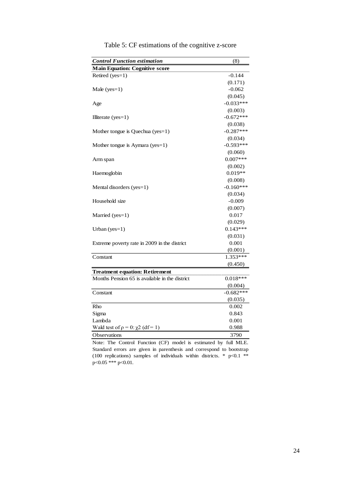| <b>Main Equation: Cognitive score</b><br>Retired (yes=1)<br>$-0.144$<br>(0.171)<br>$-0.062$<br>Male $(yes=1)$ |
|---------------------------------------------------------------------------------------------------------------|
|                                                                                                               |
|                                                                                                               |
|                                                                                                               |
|                                                                                                               |
| (0.045)                                                                                                       |
| $-0.033***$<br>Age                                                                                            |
| (0.003)                                                                                                       |
| $-0.672***$<br>Illiterate $(yes=1)$                                                                           |
| (0.038)                                                                                                       |
| $-0.287***$<br>Mother tongue is Quechua (yes=1)                                                               |
| (0.034)                                                                                                       |
| $-0.593***$<br>Mother tongue is Aymara (yes=1)                                                                |
| (0.060)                                                                                                       |
| $0.007***$<br>Arm span                                                                                        |
| (0.002)                                                                                                       |
| $0.019**$<br>Haemoglobin                                                                                      |
| (0.008)                                                                                                       |
| $-0.160***$<br>Mental disorders (yes=1)                                                                       |
| (0.034)                                                                                                       |
| Household size<br>$-0.009$                                                                                    |
| (0.007)                                                                                                       |
| 0.017<br>Married ( $yes=1$ )                                                                                  |
| (0.029)                                                                                                       |
| $0.143***$<br>Urban (yes= $1$ )                                                                               |
| (0.031)                                                                                                       |
| 0.001<br>Extreme poverty rate in 2009 in the district                                                         |
| (0.001)                                                                                                       |
| $1.353***$<br>Constant                                                                                        |
| (0.450)                                                                                                       |
| <b>Treatment equation: Retirement</b>                                                                         |
| Months Pension 65 is available in the district<br>$0.018***$                                                  |
| (0.004)                                                                                                       |
| $-0.682***$<br>Constant                                                                                       |
| (0.035)                                                                                                       |
| Rho<br>0.002                                                                                                  |
| Sigma<br>0.843                                                                                                |
| 0.001<br>Lambda                                                                                               |
| Wald test of $\rho = 0$ : $\chi^2$ (df = 1)<br>0.988                                                          |
| <b>Observations</b><br>3790                                                                                   |

Table 5: CF estimations of the cognitive z-score

Note: The Control Function (CF) model is estimated by full MLE. Standard errors are given in parenthesis and correspond to bootstrap (100 replications) samples of individuals within districts. \*  $p<0.1$  \*\* p<0.05 \*\*\* p<0.01.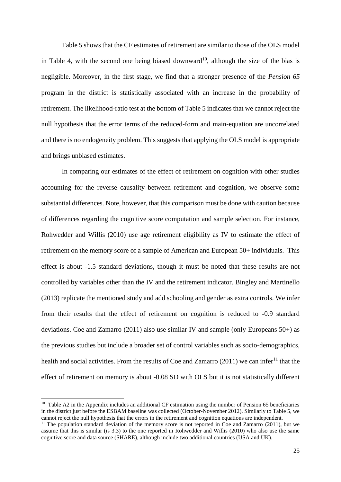Table 5 shows that the CF estimates of retirement are similar to those of the OLS model in Table 4, with the second one being biased downward<sup>10</sup>, although the size of the bias is negligible. Moreover, in the first stage, we find that a stronger presence of the *Pension 65* program in the district is statistically associated with an increase in the probability of retirement. The likelihood-ratio test at the bottom of Table 5 indicates that we cannot reject the null hypothesis that the error terms of the reduced-form and main-equation are uncorrelated and there is no endogeneity problem. This suggests that applying the OLS model is appropriate and brings unbiased estimates.

In comparing our estimates of the effect of retirement on cognition with other studies accounting for the reverse causality between retirement and cognition, we observe some substantial differences. Note, however, that this comparison must be done with caution because of differences regarding the cognitive score computation and sample selection. For instance, Rohwedder and Willis (2010) use age retirement eligibility as IV to estimate the effect of retirement on the memory score of a sample of American and European 50+ individuals. This effect is about -1.5 standard deviations, though it must be noted that these results are not controlled by variables other than the IV and the retirement indicator. Bingley and Martinello (2013) replicate the mentioned study and add schooling and gender as extra controls. We infer from their results that the effect of retirement on cognition is reduced to -0.9 standard deviations. Coe and Zamarro (2011) also use similar IV and sample (only Europeans 50+) as the previous studies but include a broader set of control variables such as socio-demographics, health and social activities. From the results of Coe and Zamarro  $(2011)$  we can infer<sup>11</sup> that the effect of retirement on memory is about -0.08 SD with OLS but it is not statistically different

1

<sup>&</sup>lt;sup>10</sup> Table A2 in the Appendix includes an additional CF estimation using the number of Pension 65 beneficiaries in the district just before the ESBAM baseline was collected (October-November 2012). Similarly to Table 5, we cannot reject the null hypothesis that the errors in the retirement and cognition equations are independent.

<sup>&</sup>lt;sup>11</sup> The population standard deviation of the memory score is not reported in  $\hat{C}$  ce and Zamarro (2011), but we assume that this is similar (is 3.3) to the one reported in Rohwedder and Willis (2010) who also use the same cognitive score and data source (SHARE), although include two additional countries (USA and UK).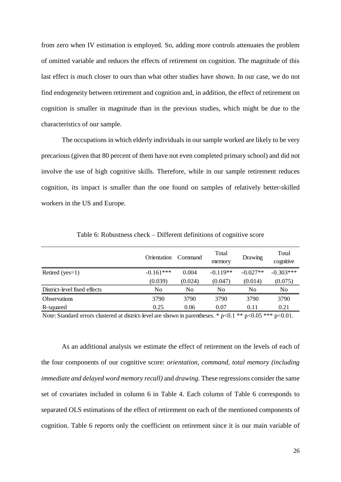from zero when IV estimation is employed. So, adding more controls attenuates the problem of omitted variable and reduces the effects of retirement on cognition. The magnitude of this last effect is much closer to ours than what other studies have shown. In our case, we do not find endogeneity between retirement and cognition and, in addition, the effect of retirement on cognition is smaller in magnitude than in the previous studies, which might be due to the characteristics of our sample.

The occupations in which elderly individuals in our sample worked are likely to be very precarious (given that 80 percent of them have not even completed primary school) and did not involve the use of high cognitive skills. Therefore, while in our sample retirement reduces cognition, its impact is smaller than the one found on samples of relatively better-skilled workers in the US and Europe.

|             |                | memory     | Drawing    | Total<br>cognitive |  |
|-------------|----------------|------------|------------|--------------------|--|
| $-0.161***$ | 0.004          | $-0.119**$ | $-0.027**$ | $-0.303***$        |  |
| (0.039)     | (0.024)        | (0.047)    | (0.014)    | (0.075)            |  |
| No          | N <sub>0</sub> | No         | No         | N <sub>0</sub>     |  |
| 3790        | 3790           | 3790       | 3790       | 3790               |  |
| 0.25        | 0.06           | 0.07       | 0.11       | 0.21               |  |
|             |                |            |            |                    |  |

Table 6: Robustness check – Different definitions of cognitive score

Note: Standard errors clustered at district-level are shown in parentheses. \* p<0.1 \*\* p<0.05 \*\*\* p<0.01.

As an additional analysis we estimate the effect of retirement on the levels of each of the four components of our cognitive score: *orientation, command, total memory (including immediate and delayed word memory recall)* and *drawing.* These regressions consider the same set of covariates included in column 6 in Table 4. Each column of Table 6 corresponds to separated OLS estimations of the effect of retirement on each of the mentioned components of cognition. Table 6 reports only the coefficient on retirement since it is our main variable of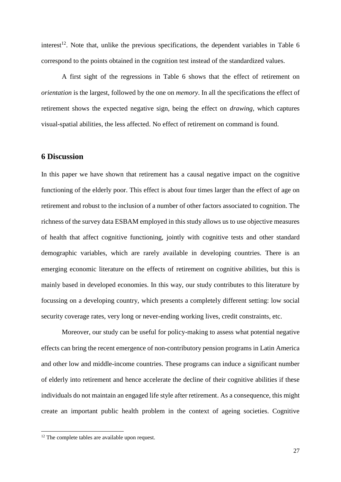interest<sup>12</sup>. Note that, unlike the previous specifications, the dependent variables in Table 6 correspond to the points obtained in the cognition test instead of the standardized values.

A first sight of the regressions in Table 6 shows that the effect of retirement on *orientation* is the largest, followed by the one on *memory*. In all the specifications the effect of retirement shows the expected negative sign, being the effect on *drawing,* which captures visual-spatial abilities, the less affected. No effect of retirement on command is found.

## **6 Discussion**

In this paper we have shown that retirement has a causal negative impact on the cognitive functioning of the elderly poor. This effect is about four times larger than the effect of age on retirement and robust to the inclusion of a number of other factors associated to cognition. The richness of the survey data ESBAM employed in this study allows us to use objective measures of health that affect cognitive functioning, jointly with cognitive tests and other standard demographic variables, which are rarely available in developing countries. There is an emerging economic literature on the effects of retirement on cognitive abilities, but this is mainly based in developed economies. In this way, our study contributes to this literature by focussing on a developing country, which presents a completely different setting: low social security coverage rates, very long or never-ending working lives, credit constraints, etc.

Moreover, our study can be useful for policy-making to assess what potential negative effects can bring the recent emergence of non-contributory pension programs in Latin America and other low and middle-income countries. These programs can induce a significant number of elderly into retirement and hence accelerate the decline of their cognitive abilities if these individuals do not maintain an engaged life style after retirement. As a consequence, this might create an important public health problem in the context of ageing societies. Cognitive

-

<sup>&</sup>lt;sup>12</sup> The complete tables are available upon request.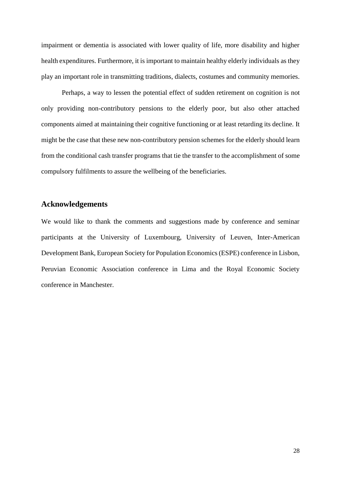impairment or dementia is associated with lower quality of life, more disability and higher health expenditures. Furthermore, it is important to maintain healthy elderly individuals as they play an important role in transmitting traditions, dialects, costumes and community memories.

Perhaps, a way to lessen the potential effect of sudden retirement on cognition is not only providing non-contributory pensions to the elderly poor, but also other attached components aimed at maintaining their cognitive functioning or at least retarding its decline. It might be the case that these new non-contributory pension schemes for the elderly should learn from the conditional cash transfer programs that tie the transfer to the accomplishment of some compulsory fulfilments to assure the wellbeing of the beneficiaries.

# **Acknowledgements**

We would like to thank the comments and suggestions made by conference and seminar participants at the University of Luxembourg, University of Leuven, Inter-American Development Bank, European Society for Population Economics (ESPE) conference in Lisbon, Peruvian Economic Association conference in Lima and the Royal Economic Society conference in Manchester.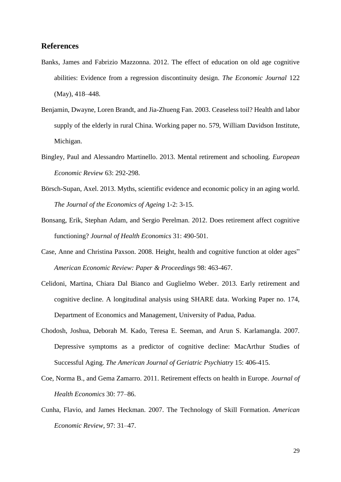## **References**

- Banks, James and Fabrizio Mazzonna. 2012. The effect of education on old age cognitive abilities: Evidence from a regression discontinuity design. *The Economic Journal* 122 (May), 418–448.
- Benjamin, Dwayne, Loren Brandt, and Jia-Zhueng Fan. 2003. Ceaseless toil? Health and labor supply of the elderly in rural China. Working paper no. 579, William Davidson Institute, Michigan.
- Bingley, Paul and Alessandro Martinello. 2013. Mental retirement and schooling. *European Economic Review* 63: 292-298.
- Börsch-Supan, Axel. 2013. Myths, scientific evidence and economic policy in an aging world. *The Journal of the Economics of Ageing* 1-2: 3-15.
- Bonsang, Erik, Stephan Adam, and Sergio Perelman. 2012. Does retirement affect cognitive functioning? *Journal of Health Economics* 31: 490-501.
- Case, Anne and Christina Paxson. 2008. Height, health and cognitive function at older ages" *American Economic Review: Paper & Proceedings* 98: 463-467.
- Celidoni, Martina, Chiara Dal Bianco and Guglielmo Weber. 2013. Early retirement and cognitive decline. A longitudinal analysis using SHARE data. Working Paper no. 174, Department of Economics and Management, University of Padua, Padua.
- Chodosh, Joshua, Deborah M. Kado, Teresa E. Seeman, and Arun S. Karlamangla. 2007. Depressive symptoms as a predictor of cognitive decline: MacArthur Studies of Successful Aging. *The American Journal of Geriatric Psychiatry* 15: 406-415.
- Coe, Norma B., and Gema Zamarro. 2011. Retirement effects on health in Europe. *Journal of Health Economics* 30: 77–86.
- Cunha, Flavio, and James Heckman. 2007. The Technology of Skill Formation. *American Economic Review*, 97: 31–47.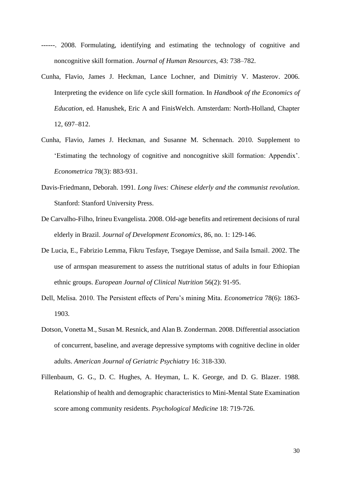- ------. 2008. Formulating, identifying and estimating the technology of cognitive and noncognitive skill formation. *Journal of Human Resources*, 43: 738–782.
- Cunha, Flavio, James J. Heckman, Lance Lochner, and Dimitriy V. Masterov. 2006. Interpreting the evidence on life cycle skill formation. In *Handbook of the Economics of Education*, ed. Hanushek, Eric A and FinisWelch. Amsterdam: North-Holland, Chapter 12, 697–812.
- Cunha, Flavio, James J. Heckman, and Susanne M. Schennach. 2010. Supplement to 'Estimating the technology of cognitive and noncognitive skill formation: Appendix'. *Econometrica* 78(3): 883-931.
- Davis-Friedmann, Deborah. 1991. *Long lives: Chinese elderly and the communist revolution*. Stanford: Stanford University Press.
- De Carvalho-Filho, Irineu Evangelista. 2008. Old-age benefits and retirement decisions of rural elderly in Brazil. *Journal of Development Economics*, 86, no. 1: 129-146.
- De Lucia, E., Fabrizio Lemma, Fikru Tesfaye, Tsegaye Demisse, and Saila Ismail. 2002. The use of armspan measurement to assess the nutritional status of adults in four Ethiopian ethnic groups. *European Journal of Clinical Nutrition* 56(2): 91-95.
- Dell, Melisa. 2010. The Persistent effects of Peru's mining Mita. *Econometrica* 78(6): 1863- 1903.
- Dotson, Vonetta M., Susan M. Resnick, and Alan B. Zonderman. 2008. Differential association of concurrent, baseline, and average depressive symptoms with cognitive decline in older adults. *American Journal of Geriatric Psychiatry* 16: 318-330.
- Fillenbaum, G. G., D. C. Hughes, A. Heyman, L. K. George, and D. G. Blazer. 1988. Relationship of health and demographic characteristics to Mini-Mental State Examination score among community residents. *Psychological Medicine* 18: 719-726.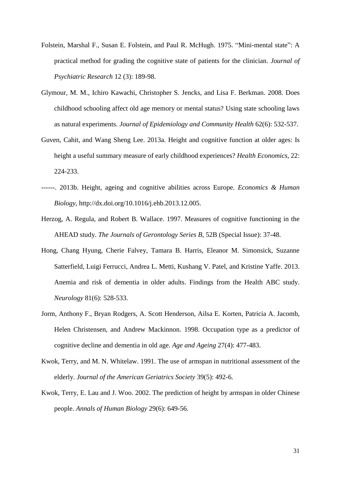- Folstein, Marshal F., Susan E. Folstein, and Paul R. McHugh. 1975. "Mini-mental state": A practical method for grading the cognitive state of patients for the clinician. *Journal of Psychiatric Research* 12 (3): 189-98.
- Glymour, M. M., Ichiro Kawachi, Christopher S. Jencks, and Lisa F. Berkman. 2008. Does childhood schooling affect old age memory or mental status? Using state schooling laws as natural experiments. *Journal of Epidemiology and Community Health* 62(6): 532-537.
- Guven, Cahit, and Wang Sheng Lee. 2013a. Height and cognitive function at older ages: Is height a useful summary measure of early childhood experiences? *Health Economics*, 22: 224-233.
- ------. 2013b. Height, ageing and cognitive abilities across Europe. *Economics & Human Biology*, http://dx.doi.org/10.1016/j.ehb.2013.12.005.
- Herzog, A. Regula, and Robert B. Wallace. 1997. Measures of cognitive functioning in the AHEAD study. *The Journals of Gerontology Series B*, 52B (Special Issue): 37-48.
- Hong, Chang Hyung, Cherie Falvey, Tamara B. Harris, Eleanor M. Simonsick, Suzanne Satterfield, Luigi Ferrucci, Andrea L. Metti, Kushang V. Patel, and Kristine Yaffe. 2013. Anemia and risk of dementia in older adults. Findings from the Health ABC study. *Neurology* 81(6): 528-533.
- Jorm, Anthony F., Bryan Rodgers, A. Scott Henderson, Ailsa E. Korten, Patricia A. Jacomb, Helen Christensen, and Andrew Mackinnon. 1998. Occupation type as a predictor of cognitive decline and dementia in old age. *Age and Ageing* 27(4): 477-483.
- Kwok, Terry, and M. N. Whitelaw. 1991. The use of armspan in nutritional assessment of the elderly. *Journal of the American Geriatrics Society* 39(5): 492-6.
- Kwok, Terry, E. Lau and J. Woo. 2002. The prediction of height by armspan in older Chinese people. *Annals of Human Biology* 29(6): 649-56.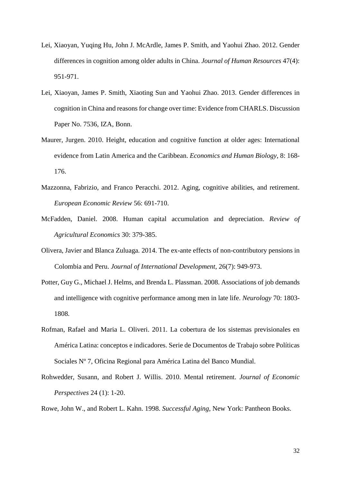- Lei, Xiaoyan, Yuqing Hu, John J. McArdle, James P. Smith, and Yaohui Zhao. 2012. Gender differences in cognition among older adults in China. *Journal of Human Resources* 47(4): 951-971.
- Lei, Xiaoyan, James P. Smith, Xiaoting Sun and Yaohui Zhao. 2013. Gender differences in cognition in China and reasons for change over time: Evidence from CHARLS. Discussion Paper No. 7536, IZA, Bonn.
- Maurer, Jurgen. 2010. Height, education and cognitive function at older ages: International evidence from Latin America and the Caribbean. *Economics and Human Biology*, 8: 168- 176.
- Mazzonna, Fabrizio, and Franco Peracchi. 2012. Aging, cognitive abilities, and retirement. *European Economic Review* 56: 691-710.
- McFadden, Daniel. 2008. Human capital accumulation and depreciation. *Review of Agricultural Economics* 30: 379-385.
- Olivera, Javier and Blanca Zuluaga. 2014. The ex-ante effects of non-contributory pensions in Colombia and Peru. *Journal of International Development*, 26(7): 949-973.
- Potter, Guy G., Michael J. Helms, and Brenda L. Plassman. 2008. Associations of job demands and intelligence with cognitive performance among men in late life. *Neurology* 70: 1803- 1808.
- Rofman, Rafael and Maria L. Oliveri. 2011. La cobertura de los sistemas previsionales en América Latina: conceptos e indicadores. Serie de Documentos de Trabajo sobre Políticas Sociales Nº 7, Oficina Regional para América Latina del Banco Mundial.
- Rohwedder, Susann, and Robert J. Willis. 2010. Mental retirement. *Journal of Economic Perspectives* 24 (1): 1-20.

Rowe, John W., and Robert L. Kahn. 1998. *Successful Aging*, New York: Pantheon Books.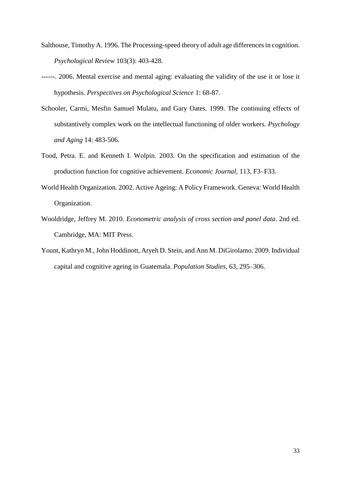- Salthouse, Timothy A. 1996. The Processing-speed theory of adult age differences in cognition. *Psychological Review* 103(3): 403-428.
- ------. 2006. Mental exercise and mental aging: evaluating the validity of the use it or lose it hypothesis. *Perspectives on Psychological Science* 1: 68-87.
- Schooler, Carmi, Mesfin Samuel Mulatu, and Gary Oates. 1999. The continuing effects of substantively complex work on the intellectual functioning of older workers. *Psychology and Aging* 14: 483-506.
- Tood, Petra. E. and Kenneth I. Wolpin. 2003. On the specification and estimation of the production function for cognitive achievement. *Economic Journal*, 113, F3–F33.
- World Health Organization. 2002. Active Ageing: A Policy Framework. Geneva: World Health Organization.
- Wooldridge, Jeffrey M. 2010. *Econometric analysis of cross section and panel data*. 2nd ed. Cambridge, MA: MIT Press.
- Yount, Kathryn M., John Hoddinott, Aryeh D. Stein, and Ann M. DiGirolamo. 2009. Individual capital and cognitive ageing in Guatemala. *Population Studies*, 63, 295–306.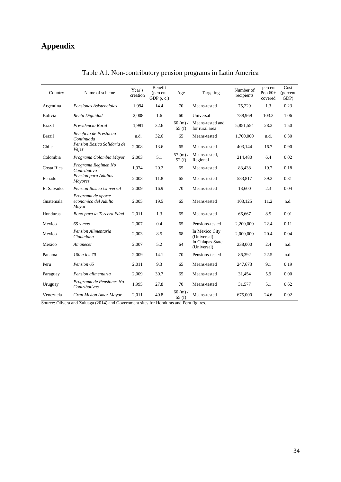# **Appendix**

| Country       | Name of scheme                                      | Year's<br>creation | Benefit<br>(percent)<br>$GDP$ p. c.) | Age                      | Targeting                          | Number of<br>recipients | percent<br>Pop $60+$<br>covered | Cost<br>(percent<br>GDP) |
|---------------|-----------------------------------------------------|--------------------|--------------------------------------|--------------------------|------------------------------------|-------------------------|---------------------------------|--------------------------|
| Argentina     | Pensiones Asistenciales                             | 1,994              | 14.4                                 | 70                       | Means-tested                       | 75,229                  | 1.3                             | 0.23                     |
| Bolivia       | Renta Dignidad                                      | 2,008              | 1.6                                  | 60                       | Universal                          | 788,969                 | 103.3                           | 1.06                     |
| <b>Brazil</b> | Previdencia Rural                                   | 1,991              | 32.6                                 | $60$ (m) $/$<br>55 $(f)$ | Means-tested and<br>for rural area | 5,851,554               | 28.3                            | 1.50                     |
| <b>Brazil</b> | Beneficio de Prestacao<br>Continuada                | n.d.               | 32.6                                 | 65                       | Means-tested                       | 1,700,000               | n.d.                            | 0.30                     |
| Chile         | Pension Basica Solidaria de<br>Vejez                | 2,008              | 13.6                                 | 65                       | Means-tested                       | 403,144                 | 16.7                            | 0.90                     |
| Colombia      | Programa Colombia Mayor                             | 2,003              | 5.1                                  | $57(m)$ /<br>52 $(f)$    | Means-tested,<br>Regional          | 214,480                 | 6.4                             | 0.02                     |
| Costa Rica    | Programa Regimen No<br>Contributivo                 | 1,974              | 20.2                                 | 65                       | Means-tested                       | 83,438                  | 19.7                            | 0.18                     |
| Ecuador       | Pension para Adultos<br><b>Mayores</b>              | 2,003              | 11.8                                 | 65                       | Means-tested                       | 583,817                 | 39.2                            | 0.31                     |
| El Salvador   | <b>Pension Basica Universal</b>                     | 2,009              | 16.9                                 | 70                       | Means-tested                       | 13,600                  | 2.3                             | 0.04                     |
| Guatemala     | Programa de aporte<br>economico del Adulto<br>Mayor | 2,005              | 19.5                                 | 65                       | Means-tested                       | 103,125                 | 11.2                            | n.d.                     |
| Honduras      | Bono para la Tercera Edad                           | 2,011              | 1.3                                  | 65                       | Means-tested                       | 66,667                  | 8.5                             | 0.01                     |
| Mexico        | $65$ y mas                                          | 2,007              | 0.4                                  | 65                       | Pensions-tested                    | 2,200,000               | 22.4                            | 0.11                     |
| Mexico        | Pension Alimentaria<br>Ciudadana                    | 2,003              | 8.5                                  | 68                       | In Mexico City<br>(Universal)      | 2,000,000               | 20.4                            | 0.04                     |
| Mexico        | Amanecer                                            | 2,007              | 5.2                                  | 64                       | In Chiapas State<br>(Universal)    | 238,000                 | 2.4                             | n.d.                     |
| Panama        | 100 a los 70                                        | 2,009              | 14.1                                 | 70                       | Pensions-tested                    | 86,392                  | 22.5                            | n.d.                     |
| Peru          | Pension 65                                          | 2,011              | 9.3                                  | 65                       | Means-tested                       | 247,673                 | 9.1                             | 0.19                     |
| Paraguay      | Pension alimentaria                                 | 2,009              | 30.7                                 | 65                       | Means-tested                       | 31,454                  | 5.9                             | 0.00                     |
| Uruguay       | Programa de Pensiones No-<br>Contributivas          | 1,995              | 27.8                                 | 70                       | Means-tested                       | 31,577                  | 5.1                             | 0.62                     |
| Venezuela     | Gran Mision Amor Mayor                              | 2,011              | 40.8                                 | 60 (m) /<br>55 $(f)$     | Means-tested                       | 675,000                 | 24.6                            | 0.02                     |

# Table A1. Non-contributory pension programs in Latin America

Source: Olivera and Zuluaga (2014) and Government sites for Honduras and Peru figures.